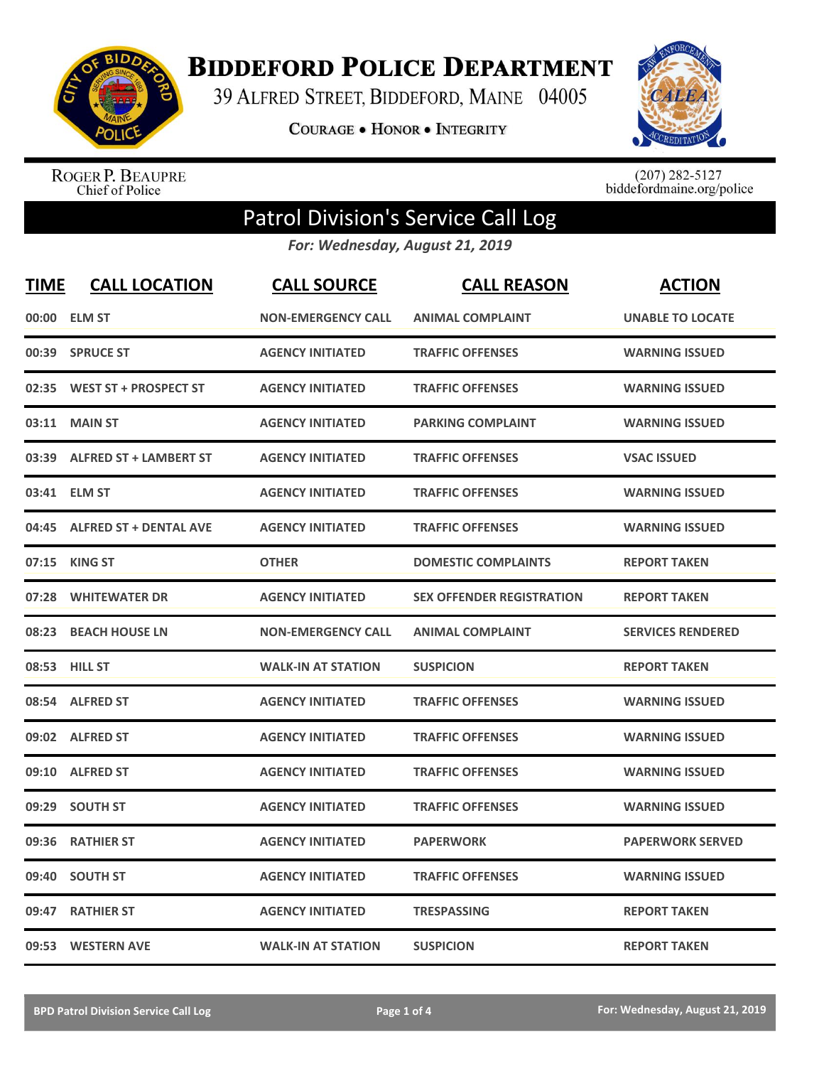

**BIDDEFORD POLICE DEPARTMENT** 

39 ALFRED STREET, BIDDEFORD, MAINE 04005

**COURAGE . HONOR . INTEGRITY** 



ROGER P. BEAUPRE<br>Chief of Police

 $(207)$  282-5127<br>biddefordmaine.org/police

## Patrol Division's Service Call Log

*For: Wednesday, August 21, 2019*

| <b>TIME</b> | <b>CALL LOCATION</b>          | <b>CALL SOURCE</b>        | <b>CALL REASON</b>               | <b>ACTION</b>            |
|-------------|-------------------------------|---------------------------|----------------------------------|--------------------------|
|             | 00:00 ELM ST                  | <b>NON-EMERGENCY CALL</b> | <b>ANIMAL COMPLAINT</b>          | <b>UNABLE TO LOCATE</b>  |
| 00:39       | <b>SPRUCE ST</b>              | <b>AGENCY INITIATED</b>   | <b>TRAFFIC OFFENSES</b>          | <b>WARNING ISSUED</b>    |
| 02:35       | <b>WEST ST + PROSPECT ST</b>  | <b>AGENCY INITIATED</b>   | <b>TRAFFIC OFFENSES</b>          | <b>WARNING ISSUED</b>    |
| 03:11       | <b>MAIN ST</b>                | <b>AGENCY INITIATED</b>   | <b>PARKING COMPLAINT</b>         | <b>WARNING ISSUED</b>    |
| 03:39       | <b>ALFRED ST + LAMBERT ST</b> | <b>AGENCY INITIATED</b>   | <b>TRAFFIC OFFENSES</b>          | <b>VSAC ISSUED</b>       |
|             | 03:41 ELM ST                  | <b>AGENCY INITIATED</b>   | <b>TRAFFIC OFFENSES</b>          | <b>WARNING ISSUED</b>    |
| 04:45       | <b>ALFRED ST + DENTAL AVE</b> | <b>AGENCY INITIATED</b>   | <b>TRAFFIC OFFENSES</b>          | <b>WARNING ISSUED</b>    |
| 07:15       | <b>KING ST</b>                | <b>OTHER</b>              | <b>DOMESTIC COMPLAINTS</b>       | <b>REPORT TAKEN</b>      |
| 07:28       | <b>WHITEWATER DR</b>          | <b>AGENCY INITIATED</b>   | <b>SEX OFFENDER REGISTRATION</b> | <b>REPORT TAKEN</b>      |
| 08:23       | <b>BEACH HOUSE LN</b>         | <b>NON-EMERGENCY CALL</b> | <b>ANIMAL COMPLAINT</b>          | <b>SERVICES RENDERED</b> |
|             | 08:53 HILL ST                 | <b>WALK-IN AT STATION</b> | <b>SUSPICION</b>                 | <b>REPORT TAKEN</b>      |
| 08:54       | <b>ALFRED ST</b>              | <b>AGENCY INITIATED</b>   | <b>TRAFFIC OFFENSES</b>          | <b>WARNING ISSUED</b>    |
| 09:02       | <b>ALFRED ST</b>              | <b>AGENCY INITIATED</b>   | <b>TRAFFIC OFFENSES</b>          | <b>WARNING ISSUED</b>    |
| 09:10       | <b>ALFRED ST</b>              | <b>AGENCY INITIATED</b>   | <b>TRAFFIC OFFENSES</b>          | <b>WARNING ISSUED</b>    |
| 09:29       | <b>SOUTH ST</b>               | <b>AGENCY INITIATED</b>   | <b>TRAFFIC OFFENSES</b>          | <b>WARNING ISSUED</b>    |
| 09:36       | <b>RATHIER ST</b>             | <b>AGENCY INITIATED</b>   | <b>PAPERWORK</b>                 | <b>PAPERWORK SERVED</b>  |
| 09:40       | <b>SOUTH ST</b>               | <b>AGENCY INITIATED</b>   | <b>TRAFFIC OFFENSES</b>          | <b>WARNING ISSUED</b>    |
| 09:47       | <b>RATHIER ST</b>             | <b>AGENCY INITIATED</b>   | <b>TRESPASSING</b>               | <b>REPORT TAKEN</b>      |
|             | 09:53 WESTERN AVE             | <b>WALK-IN AT STATION</b> | <b>SUSPICION</b>                 | <b>REPORT TAKEN</b>      |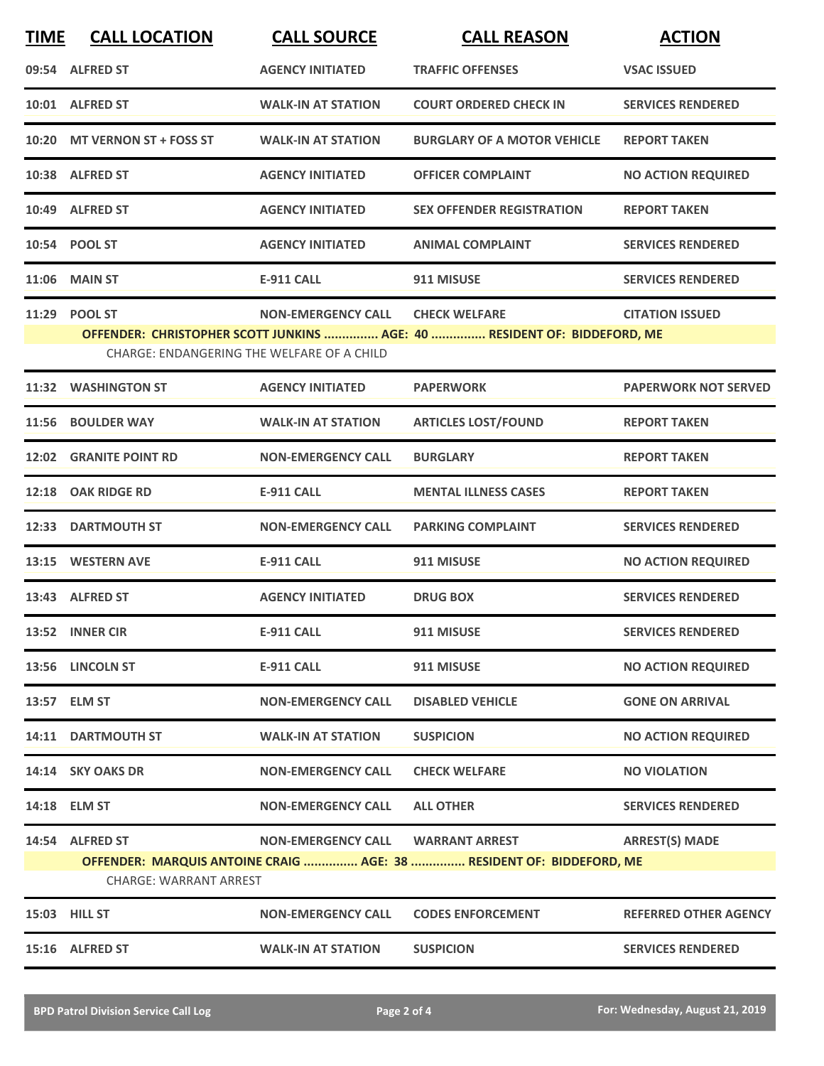| <b>TIME</b> | <b>CALL LOCATION</b>          | <b>CALL SOURCE</b>                         | <b>CALL REASON</b>                                                       | <b>ACTION</b>                |
|-------------|-------------------------------|--------------------------------------------|--------------------------------------------------------------------------|------------------------------|
|             | 09:54 ALFRED ST               | <b>AGENCY INITIATED</b>                    | <b>TRAFFIC OFFENSES</b>                                                  | <b>VSAC ISSUED</b>           |
|             | 10:01 ALFRED ST               | <b>WALK-IN AT STATION</b>                  | <b>COURT ORDERED CHECK IN</b>                                            | <b>SERVICES RENDERED</b>     |
|             | 10:20 MT VERNON ST + FOSS ST  | <b>WALK-IN AT STATION</b>                  | <b>BURGLARY OF A MOTOR VEHICLE</b>                                       | <b>REPORT TAKEN</b>          |
|             | 10:38 ALFRED ST               | <b>AGENCY INITIATED</b>                    | <b>OFFICER COMPLAINT</b>                                                 | <b>NO ACTION REQUIRED</b>    |
|             | 10:49 ALFRED ST               | <b>AGENCY INITIATED</b>                    | <b>SEX OFFENDER REGISTRATION</b>                                         | <b>REPORT TAKEN</b>          |
|             | 10:54 POOL ST                 | <b>AGENCY INITIATED</b>                    | <b>ANIMAL COMPLAINT</b>                                                  | <b>SERVICES RENDERED</b>     |
|             | 11:06 MAIN ST                 | <b>E-911 CALL</b>                          | 911 MISUSE                                                               | <b>SERVICES RENDERED</b>     |
|             | 11:29 POOL ST                 | <b>NON-EMERGENCY CALL</b>                  | <b>CHECK WELFARE</b>                                                     | <b>CITATION ISSUED</b>       |
|             |                               |                                            | OFFENDER: CHRISTOPHER SCOTT JUNKINS  AGE: 40  RESIDENT OF: BIDDEFORD, ME |                              |
|             |                               | CHARGE: ENDANGERING THE WELFARE OF A CHILD |                                                                          |                              |
|             | 11:32 WASHINGTON ST           | <b>AGENCY INITIATED</b>                    | <b>PAPERWORK</b>                                                         | <b>PAPERWORK NOT SERVED</b>  |
|             | 11:56 BOULDER WAY             | <b>WALK-IN AT STATION</b>                  | <b>ARTICLES LOST/FOUND</b>                                               | <b>REPORT TAKEN</b>          |
|             | <b>12:02 GRANITE POINT RD</b> | <b>NON-EMERGENCY CALL</b>                  | <b>BURGLARY</b>                                                          | <b>REPORT TAKEN</b>          |
|             | 12:18 OAK RIDGE RD            | <b>E-911 CALL</b>                          | <b>MENTAL ILLNESS CASES</b>                                              | <b>REPORT TAKEN</b>          |
| 12:33       | <b>DARTMOUTH ST</b>           | <b>NON-EMERGENCY CALL</b>                  | <b>PARKING COMPLAINT</b>                                                 | <b>SERVICES RENDERED</b>     |
|             | 13:15 WESTERN AVE             | E-911 CALL                                 | 911 MISUSE                                                               | <b>NO ACTION REQUIRED</b>    |
|             | 13:43 ALFRED ST               | <b>AGENCY INITIATED</b>                    | <b>DRUG BOX</b>                                                          | <b>SERVICES RENDERED</b>     |
|             | 13:52 INNER CIR               | <b>E-911 CALL</b>                          | 911 MISUSE                                                               | <b>SERVICES RENDERED</b>     |
|             | 13:56 LINCOLN ST              | <b>E-911 CALL</b>                          | 911 MISUSE                                                               | <b>NO ACTION REQUIRED</b>    |
|             | 13:57 ELM ST                  | <b>NON-EMERGENCY CALL</b>                  | <b>DISABLED VEHICLE</b>                                                  | <b>GONE ON ARRIVAL</b>       |
|             | 14:11 DARTMOUTH ST            | <b>WALK-IN AT STATION</b>                  | <b>SUSPICION</b>                                                         | <b>NO ACTION REQUIRED</b>    |
|             | 14:14 SKY OAKS DR             | <b>NON-EMERGENCY CALL</b>                  | <b>CHECK WELFARE</b>                                                     | <b>NO VIOLATION</b>          |
|             | 14:18 ELM ST                  | <b>NON-EMERGENCY CALL</b>                  | <b>ALL OTHER</b>                                                         | <b>SERVICES RENDERED</b>     |
|             | 14:54 ALFRED ST               | <b>NON-EMERGENCY CALL</b>                  | <b>WARRANT ARREST</b>                                                    | <b>ARREST(S) MADE</b>        |
|             |                               |                                            | OFFENDER: MARQUIS ANTOINE CRAIG  AGE: 38  RESIDENT OF: BIDDEFORD, ME     |                              |
|             | <b>CHARGE: WARRANT ARREST</b> |                                            |                                                                          |                              |
|             | 15:03 HILL ST                 | <b>NON-EMERGENCY CALL</b>                  | <b>CODES ENFORCEMENT</b>                                                 | <b>REFERRED OTHER AGENCY</b> |
|             | 15:16 ALFRED ST               | <b>WALK-IN AT STATION</b>                  | <b>SUSPICION</b>                                                         | <b>SERVICES RENDERED</b>     |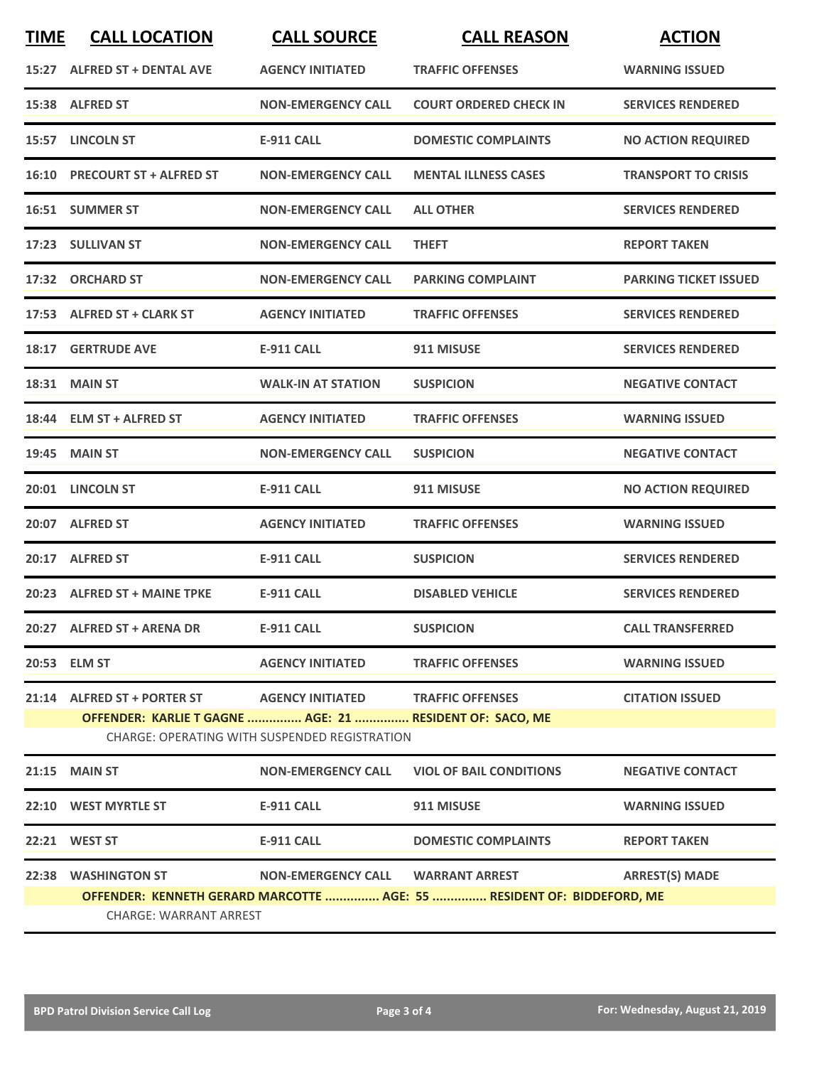| <b>TIME</b> | <b>CALL LOCATION</b>                                                                    | <b>CALL SOURCE</b>                                                                        | <b>CALL REASON</b>                                                     | <b>ACTION</b>                |
|-------------|-----------------------------------------------------------------------------------------|-------------------------------------------------------------------------------------------|------------------------------------------------------------------------|------------------------------|
|             | 15:27 ALFRED ST + DENTAL AVE                                                            | <b>AGENCY INITIATED</b>                                                                   | <b>TRAFFIC OFFENSES</b>                                                | <b>WARNING ISSUED</b>        |
|             | 15:38 ALFRED ST                                                                         | <b>NON-EMERGENCY CALL</b>                                                                 | <b>COURT ORDERED CHECK IN</b>                                          | <b>SERVICES RENDERED</b>     |
|             | 15:57 LINCOLN ST                                                                        | <b>E-911 CALL</b>                                                                         | <b>DOMESTIC COMPLAINTS</b>                                             | <b>NO ACTION REQUIRED</b>    |
|             | 16:10 PRECOURT ST + ALFRED ST                                                           | <b>NON-EMERGENCY CALL</b>                                                                 | <b>MENTAL ILLNESS CASES</b>                                            | <b>TRANSPORT TO CRISIS</b>   |
|             | 16:51 SUMMER ST                                                                         | <b>NON-EMERGENCY CALL</b>                                                                 | <b>ALL OTHER</b>                                                       | <b>SERVICES RENDERED</b>     |
|             | 17:23 SULLIVAN ST                                                                       | <b>NON-EMERGENCY CALL</b>                                                                 | <b>THEFT</b>                                                           | <b>REPORT TAKEN</b>          |
|             | 17:32 ORCHARD ST                                                                        | <b>NON-EMERGENCY CALL</b>                                                                 | <b>PARKING COMPLAINT</b>                                               | <b>PARKING TICKET ISSUED</b> |
|             | 17:53 ALFRED ST + CLARK ST                                                              | <b>AGENCY INITIATED</b>                                                                   | <b>TRAFFIC OFFENSES</b>                                                | <b>SERVICES RENDERED</b>     |
|             | <b>18:17 GERTRUDE AVE</b>                                                               | <b>E-911 CALL</b>                                                                         | 911 MISUSE                                                             | <b>SERVICES RENDERED</b>     |
|             | <b>18:31 MAIN ST</b>                                                                    | <b>WALK-IN AT STATION</b>                                                                 | <b>SUSPICION</b>                                                       | <b>NEGATIVE CONTACT</b>      |
|             | 18:44 ELM ST + ALFRED ST                                                                | <b>AGENCY INITIATED</b>                                                                   | <b>TRAFFIC OFFENSES</b>                                                | <b>WARNING ISSUED</b>        |
| 19:45       | <b>MAIN ST</b>                                                                          | <b>NON-EMERGENCY CALL</b>                                                                 | <b>SUSPICION</b>                                                       | <b>NEGATIVE CONTACT</b>      |
|             | 20:01 LINCOLN ST                                                                        | <b>E-911 CALL</b>                                                                         | 911 MISUSE                                                             | <b>NO ACTION REQUIRED</b>    |
|             | 20:07 ALFRED ST                                                                         | <b>AGENCY INITIATED</b>                                                                   | <b>TRAFFIC OFFENSES</b>                                                | <b>WARNING ISSUED</b>        |
|             | 20:17 ALFRED ST                                                                         | <b>E-911 CALL</b>                                                                         | <b>SUSPICION</b>                                                       | <b>SERVICES RENDERED</b>     |
|             | 20:23 ALFRED ST + MAINE TPKE                                                            | E-911 CALL                                                                                | <b>DISABLED VEHICLE</b>                                                | <b>SERVICES RENDERED</b>     |
|             | 20:27 ALFRED ST + ARENA DR                                                              | <b>E-911 CALL</b>                                                                         | <b>SUSPICION</b>                                                       | <b>CALL TRANSFERRED</b>      |
|             | 20:53 ELM ST                                                                            | <b>AGENCY INITIATED</b>                                                                   | <b>TRAFFIC OFFENSES</b>                                                | <b>WARNING ISSUED</b>        |
|             | 21:14 ALFRED ST + PORTER ST<br>OFFENDER: KARLIE T GAGNE  AGE: 21  RESIDENT OF: SACO, ME | AGENCY INITIATED TRAFFIC OFFENSES<br><b>CHARGE: OPERATING WITH SUSPENDED REGISTRATION</b> |                                                                        | <b>CITATION ISSUED</b>       |
|             | $21:15$ MAIN ST                                                                         | <b>NON-EMERGENCY CALL</b>                                                                 | <b>VIOL OF BAIL CONDITIONS</b>                                         | <b>NEGATIVE CONTACT</b>      |
|             | 22:10 WEST MYRTLE ST                                                                    | <b>E-911 CALL</b>                                                                         | 911 MISUSE                                                             | <b>WARNING ISSUED</b>        |
|             | 22:21 WEST ST                                                                           | <b>E-911 CALL</b>                                                                         | <b>DOMESTIC COMPLAINTS</b>                                             | <b>REPORT TAKEN</b>          |
|             | 22:38 WASHINGTON ST<br><b>CHARGE: WARRANT ARREST</b>                                    | NON-EMERGENCY CALL WARRANT ARREST                                                         | OFFENDER: KENNETH GERARD MARCOTTE  AGE: 55  RESIDENT OF: BIDDEFORD, ME | <b>ARREST(S) MADE</b>        |